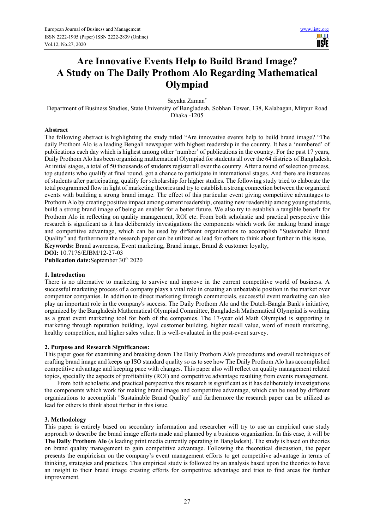ш **USIE** 

# **Are Innovative Events Help to Build Brand Image? A Study on The Daily Prothom Alo Regarding Mathematical Olympiad**

Sayaka Zaman\*

Department of Business Studies, State University of Bangladesh, Sobhan Tower, 138, Kalabagan, Mirpur Road Dhaka -1205

#### **Abstract**

The following abstract is highlighting the study titled "Are innovative events help to build brand image? "The daily Prothom Alo is a leading Bengali newspaper with highest readership in the country. It has a 'numbered' of publications each day which is highest among other 'number' of publications in the country. For the past 17 years, Daily Prothom Alo has been organizing mathematical Olympiad for students all over the 64 districts of Bangladesh. At initial stages, a total of 50 thousands of students register all over the country. After a round of selection process, top students who qualify at final round, got a chance to participate in international stages. And there are instances of students after participating, qualify for scholarship for higher studies. The following study tried to elaborate the total programmed flow in light of marketing theories and try to establish a strong connection between the organized events with building a strong brand image. The effect of this particular event giving competitive advantages to Prothom Alo by creating positive impact among current readership, creating new readership among young students, build a strong brand image of being an enabler for a better future. We also try to establish a tangible benefit for Prothom Alo in reflecting on quality management, ROI etc. From both scholastic and practical perspective this research is significant as it has deliberately investigations the components which work for making brand image and competitive advantage, which can be used by different organizations to accomplish "Sustainable Brand Quality" and furthermore the research paper can be utilized as lead for others to think about further in this issue. **Keywords:** Brand awareness, Event marketing, Brand image, Brand & customer loyalty, **DOI:** 10.7176/EJBM/12-27-03

Publication date:September 30<sup>th</sup> 2020

#### **1. Introduction**

There is no alternative to marketing to survive and improve in the current competitive world of business. A successful marketing process of a company plays a vital role in creating an unbeatable position in the market over competitor companies. In addition to direct marketing through commercials, successful event marketing can also play an important role in the company's success. The Daily Prothom Alo and the Dutch-Bangla Bank's initiative, organized by the Bangladesh Mathematical Olympiad Committee, Bangladesh Mathematical Olympiad is working as a great event marketing tool for both of the companies. The 17-year old Math Olympiad is supporting in marketing through reputation building, loyal customer building, higher recall value, word of mouth marketing, healthy competition, and higher sales value. It is well-evaluated in the post-event survey.

## **2. Purpose and Research Significances:**

This paper goes for examining and breaking down The Daily Prothom Alo's procedures and overall techniques of crafting brand image and keeps up ISO standard quality so as to see how The Daily Prothom Alo has accomplished competitive advantage and keeping pace with changes. This paper also will reflect on quality management related topics, specially the aspects of profitability (ROI) and competitive advantage resulting from events management.

From both scholastic and practical perspective this research is significant as it has deliberately investigations the components which work for making brand image and competitive advantage, which can be used by different organizations to accomplish "Sustainable Brand Quality" and furthermore the research paper can be utilized as lead for others to think about further in this issue.

#### **3. Methodology**

This paper is entirely based on secondary information and researcher will try to use an empirical case study approach to describe the brand image efforts made and planned by a business organization. In this case, it will be **The Daily Prothom Alo** (a leading print media currently operating in Bangladesh). The study is based on theories on brand quality management to gain competitive advantage. Following the theoretical discussion, the paper presents the empiricism on the company's event management efforts to get competitive advantage in terms of thinking, strategies and practices. This empirical study is followed by an analysis based upon the theories to have an insight to their brand image creating efforts for competitive advantage and tries to find areas for further improvement.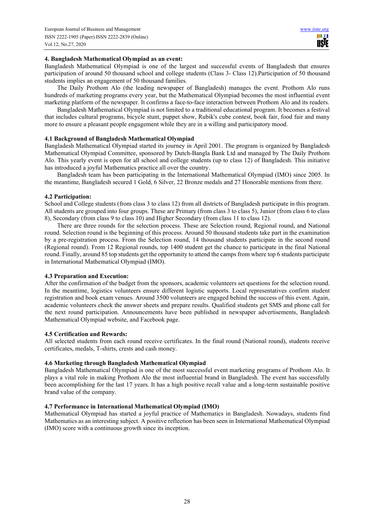## **4. Bangladesh Mathematical Olympiad as an event:**

Bangladesh Mathematical Olympiad is one of the largest and successful events of Bangladesh that ensures participation of around 50 thousand school and college students (Class 3- Class 12).Participation of 50 thousand students implies an engagement of 50 thousand families.

The Daily Prothom Alo (the leading newspaper of Bangladesh) manages the event. Prothom Alo runs hundreds of marketing programs every year, but the Mathematical Olympiad becomes the most influential event marketing platform of the newspaper. It confirms a face-to-face interaction between Prothom Alo and its readers.

Bangladesh Mathematical Olympiad is not limited to a traditional educational program. It becomes a festival that includes cultural programs, bicycle stunt, puppet show, Rubik's cube contest, book fair, food fair and many more to ensure a pleasant people engagement while they are in a willing and participatory mood.

# **4.1 Background of Bangladesh Mathematical Olympiad**

Bangladesh Mathematical Olympiad started its journey in April 2001. The program is organized by Bangladesh Mathematical Olympiad Committee, sponsored by Dutch-Bangla Bank Ltd and managed by The Daily Prothom Alo. This yearly event is open for all school and college students (up to class 12) of Bangladesh. This initiative has introduced a joyful Mathematics practice all over the country.

Bangladesh team has been participating in the International Mathematical Olympiad (IMO) since 2005. In the meantime, Bangladesh secured 1 Gold, 6 Silver, 22 Bronze medals and 27 Honorable mentions from there.

## **4.2 Participation:**

School and College students (from class 3 to class 12) from all districts of Bangladesh participate in this program. All students are grouped into four groups. These are Primary (from class 3 to class 5), Junior (from class 6 to class 8), Secondary (from class 9 to class 10) and Higher Secondary (from class 11 to class 12).

There are three rounds for the selection process. These are Selection round, Regional round, and National round. Selection round is the beginning of this process. Around 50 thousand students take part in the examination by a pre-registration process. From the Selection round, 14 thousand students participate in the second round (Regional round). From 12 Regional rounds, top 1400 student get the chance to participate in the final National round. Finally, around 85 top students get the opportunity to attend the camps from where top 6 students participate in International Mathematical Olympiad (IMO).

# **4.3 Preparation and Execution:**

After the confirmation of the budget from the sponsors, academic volunteers set questions for the selection round. In the meantime, logistics volunteers ensure different logistic supports. Local representatives confirm student registration and book exam venues. Around 3500 volunteers are engaged behind the success of this event. Again, academic volunteers check the answer sheets and prepare results. Qualified students get SMS and phone call for the next round participation. Announcements have been published in newspaper advertisements, Bangladesh Mathematical Olympiad website, and Facebook page.

# **4.5 Certification and Rewards:**

All selected students from each round receive certificates. In the final round (National round), students receive certificates, medals, T-shirts, crests and cash money.

# **4.6 Marketing through Bangladesh Mathematical Olympiad**

Bangladesh Mathematical Olympiad is one of the most successful event marketing programs of Prothom Alo. It plays a vital role in making Prothom Alo the most influential brand in Bangladesh. The event has successfully been accomplishing for the last 17 years. It has a high positive recall value and a long-term sustainable positive brand value of the company.

# **4.7 Performance in International Mathematical Olympiad (IMO)**

Mathematical Olympiad has started a joyful practice of Mathematics in Bangladesh. Nowadays, students find Mathematics as an interesting subject. A positive reflection has been seen in International Mathematical Olympiad (IMO) score with a continuous growth since its inception.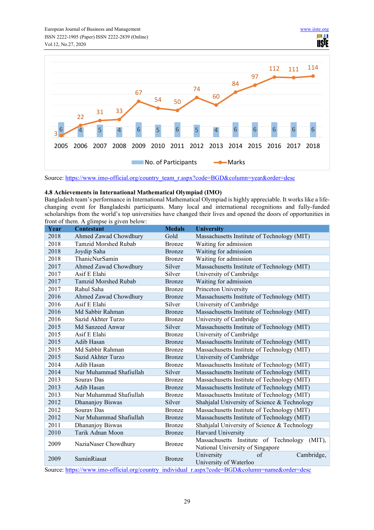

Source: https://www.imo-official.org/country\_team\_r.aspx?code=BGD&column=year&order=desc

## **4.8 Achievements in International Mathematical Olympiad (IMO)**

Bangladesh team's performance in International Mathematical Olympiad is highly appreciable. It works like a lifechanging event for Bangladeshi participants. Many local and international recognitions and fully-funded scholarships from the world's top universities have changed their lives and opened the doors of opportunities in front of them. A glimpse is given below:

| Year | <b>Contestant</b>           | <b>Medals</b> | <b>University</b>                                                                      |
|------|-----------------------------|---------------|----------------------------------------------------------------------------------------|
| 2018 | Ahmed Zawad Chowdhury       | Gold          | Massachusetts Institute of Technology (MIT)                                            |
| 2018 | <b>Tamzid Morshed Rubab</b> | <b>Bronze</b> | Waiting for admission                                                                  |
| 2018 | Joydip Saha                 | <b>Bronze</b> | Waiting for admission                                                                  |
| 2018 | ThanicNurSamin              | <b>Bronze</b> | Waiting for admission                                                                  |
| 2017 | Ahmed Zawad Chowdhury       | Silver        | Massachusetts Institute of Technology (MIT)                                            |
| 2017 | Asif E Elahi                | Silver        | University of Cambridge                                                                |
| 2017 | <b>Tamzid Morshed Rubab</b> | <b>Bronze</b> | Waiting for admission                                                                  |
| 2017 | Rahul Saha                  | <b>Bronze</b> | Princeton University                                                                   |
| 2016 | Ahmed Zawad Chowdhury       | <b>Bronze</b> | Massachusetts Institute of Technology (MIT)                                            |
| 2016 | Asif E Elahi                | Silver        | University of Cambridge                                                                |
| 2016 | Md Sabbir Rahman            | <b>Bronze</b> | Massachusetts Institute of Technology (MIT)                                            |
| 2016 | Sazid Akhter Turzo          | <b>Bronze</b> | University of Cambridge                                                                |
| 2015 | Md Sanzeed Anwar            | Silver        | Massachusetts Institute of Technology (MIT)                                            |
| 2015 | Asif E Elahi                | Bronze        | University of Cambridge                                                                |
| 2015 | Adib Hasan                  | <b>Bronze</b> | Massachusetts Institute of Technology (MIT)                                            |
| 2015 | Md Sabbir Rahman            | Bronze        | Massachusetts Institute of Technology (MIT)                                            |
| 2015 | Sazid Akhter Turzo          | <b>Bronze</b> | University of Cambridge                                                                |
| 2014 | Adib Hasan                  | <b>Bronze</b> | Massachusetts Institute of Technology (MIT)                                            |
| 2014 | Nur Muhammad Shafiullah     | Silver        | Massachusetts Institute of Technology (MIT)                                            |
| 2013 | Sourav Das                  | Bronze        | Massachusetts Institute of Technology (MIT)                                            |
| 2013 | Adib Hasan                  | <b>Bronze</b> | Massachusetts Institute of Technology (MIT)                                            |
| 2013 | Nur Muhammad Shafiullah     | <b>Bronze</b> | Massachusetts Institute of Technology (MIT)                                            |
| 2012 | Dhananjoy Biswas            | Silver        | Shahjalal University of Science & Technology                                           |
| 2012 | Sourav Das                  | <b>Bronze</b> | Massachusetts Institute of Technology (MIT)                                            |
| 2012 | Nur Muhammad Shafiullah     | <b>Bronze</b> | Massachusetts Institute of Technology (MIT)                                            |
| 2011 | Dhananjoy Biswas            | <b>Bronze</b> | Shahjalal University of Science & Technology                                           |
| 2010 | Tarik Adnan Moon            | <b>Bronze</b> | Harvard University                                                                     |
| 2009 | NaziaNaser Chowdhury        | <b>Bronze</b> | Massachusetts Institute of Technology<br>$(MIT)$ ,<br>National University of Singapore |
| 2009 | <b>SaminRiasat</b>          | <b>Bronze</b> | University<br>Cambridge,<br>of<br>University of Waterloo                               |

Source: https://www.imo-official.org/country\_individual\_r.aspx?code=BGD&column=name&order=desc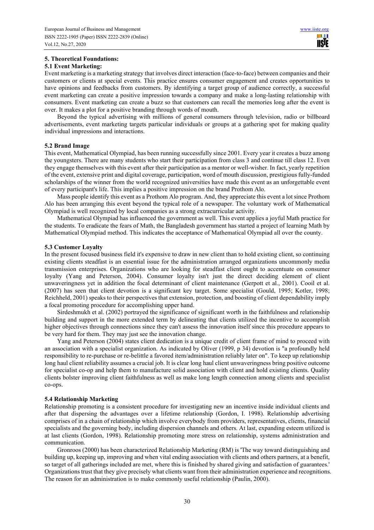# **5. Theoretical Foundations:**

## **5.1 Event Marketing:**

Event marketing is a marketing strategy that involves direct interaction (face-to-face) between companies and their customers or clients at special events. This practice ensures consumer engagement and creates opportunities to have opinions and feedbacks from customers. By identifying a target group of audience correctly, a successful event marketing can create a positive impression towards a company and make a long-lasting relationship with consumers. Event marketing can create a buzz so that customers can recall the memories long after the event is over. It makes a plot for a positive branding through words of mouth.

Beyond the typical advertising with millions of general consumers through television, radio or billboard advertisements, event marketing targets particular individuals or groups at a gathering spot for making quality individual impressions and interactions.

## **5.2 Brand Image**

This event, Mathematical Olympiad, has been running successfully since 2001. Every year it creates a buzz among the youngsters. There are many students who start their participation from class 3 and continue till class 12. Even they engage themselves with this event after their participation as a mentor or well-wisher. In fact, yearly repetition of the event, extensive print and digital coverage, participation, word of mouth discussion, prestigious fully-funded scholarships of the winner from the world recognized universities have made this event as an unforgettable event of every participant's life. This implies a positive impression on the brand Prothom Alo.

Mass people identify this event as a Prothom Alo program. And, they appreciate this event a lot since Prothom Alo has been arranging this event beyond the typical role of a newspaper. The voluntary work of Mathematical Olympiad is well recognized by local companies as a strong extracurricular activity.

Mathematical Olympiad has influenced the government as well. This event applies a joyful Math practice for the students. To eradicate the fears of Math, the Bangladesh government has started a project of learning Math by Mathematical Olympiad method. This indicates the acceptance of Mathematical Olympiad all over the county.

## **5.3 Customer Loyalty**

In the present focused business field it's expensive to draw in new client than to hold existing client, so continuing existing clients steadfast is an essential issue for the administration arranged organizations uncommonly media transmission enterprises. Organizations who are looking for steadfast client ought to accentuate on consumer loyalty (Yang and Peterson, 2004). Consumer loyalty isn't just the direct deciding element of client unwaveringness yet in addition the focal determinant of client maintenance (Gerpott et al., 2001). Cooil et al. (2007) has seen that client devotion is a significant key target. Some specialist (Gould, 1995; Kotler, 1998; Reichheld, 2001) speaks to their perspectives that extension, protection, and boosting of client dependability imply a focal promoting procedure for accomplishing upper hand.

Sirdeshmukh et al. (2002) portrayed the significance of significant worth in the faithfulness and relationship building and support in the more extended term by delineating that clients utilized the incentive to accomplish higher objectives through connections since they can't assess the innovation itself since this procedure appears to be very hard for them. They may just see the innovation change.

Yang and Peterson (2004) states client dedication is a unique credit of client frame of mind to proceed with an association with a specialist organization. As indicated by Oliver (1999, p 34) devotion is "a profoundly held responsibility to re-purchase or re-belittle a favored item/administration reliably later on". To keep up relationship long haul client reliability assumes a crucial job. It is clear long haul client unwaveringness bring positive outcome for specialist co-op and help them to manufacture solid association with client and hold existing clients. Quality clients bolster improving client faithfulness as well as make long length connection among clients and specialist co-ops.

#### **5.4 Relationship Marketing**

Relationship promoting is a consistent procedure for investigating new an incentive inside individual clients and after that dispersing the advantages over a lifetime relationship (Gordon, I. 1998). Relationship advertising comprises of in a chain of relationship which involve everybody from providers, representatives, clients, financial specialists and the governing body, including dispersion channels and others. At last, expanding esteem utilized is at last clients (Gordon, 1998). Relationship promoting more stress on relationship, systems administration and communication.

Gronroos (2000) has been characterized Relationship Marketing (RM) is 'The way toward distinguishing and building up, keeping up, improving and when vital ending association with clients and others partners, at a benefit, so target of all gatherings included are met, where this is finished by shared giving and satisfaction of guarantees.' Organizations trust that they give precisely what clients want from their administration experience and recognitions. The reason for an administration is to make commonly useful relationship (Paulin, 2000).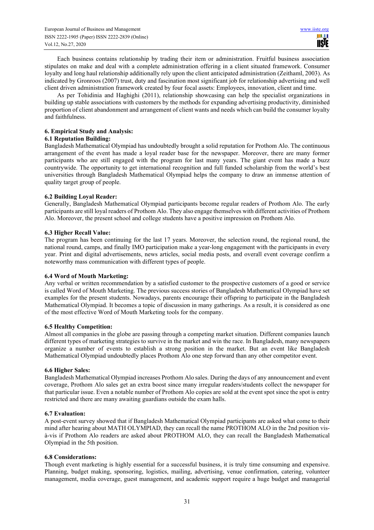Each business contains relationship by trading their item or administration. Fruitful business association stipulates on make and deal with a complete administration offering in a client situated framework. Consumer loyalty and long haul relationship additionally rely upon the client anticipated administration (Zeithaml, 2003). As indicated by Gronroos (2007) trust, duty and fascination most significant job for relationship advertising and well client driven administration framework created by four focal assets: Employees, innovation, client and time.

As per Tohidinia and Haghighi (2011), relationship showcasing can help the specialist organizations in building up stable associations with customers by the methods for expanding advertising productivity, diminished proportion of client abandonment and arrangement of client wants and needs which can build the consumer loyalty and faithfulness.

# **6. Empirical Study and Analysis:**

# **6.1 Reputation Building:**

Bangladesh Mathematical Olympiad has undoubtedly brought a solid reputation for Prothom Alo. The continuous arrangement of the event has made a loyal reader base for the newspaper. Moreover, there are many former participants who are still engaged with the program for last many years. The giant event has made a buzz countrywide. The opportunity to get international recognition and full funded scholarship from the world's best universities through Bangladesh Mathematical Olympiad helps the company to draw an immense attention of quality target group of people.

# **6.2 Building Loyal Reader:**

Generally, Bangladesh Mathematical Olympiad participants become regular readers of Prothom Alo. The early participants are still loyal readers of Prothom Alo. They also engage themselves with different activities of Prothom Alo. Moreover, the present school and college students have a positive impression on Prothom Alo.

# **6.3 Higher Recall Value:**

The program has been continuing for the last 17 years. Moreover, the selection round, the regional round, the national round, camps, and finally IMO participation make a year-long engagement with the participants in every year. Print and digital advertisements, news articles, social media posts, and overall event coverage confirm a noteworthy mass communication with different types of people.

# **6.4 Word of Mouth Marketing:**

Any verbal or written recommendation by a satisfied customer to the prospective customers of a good or service is called Word of Mouth Marketing. The previous success stories of Bangladesh Mathematical Olympiad have set examples for the present students. Nowadays, parents encourage their offspring to participate in the Bangladesh Mathematical Olympiad. It becomes a topic of discussion in many gatherings. As a result, it is considered as one of the most effective Word of Mouth Marketing tools for the company.

# **6.5 Healthy Competition:**

Almost all companies in the globe are passing through a competing market situation. Different companies launch different types of marketing strategies to survive in the market and win the race. In Bangladesh, many newspapers organize a number of events to establish a strong position in the market. But an event like Bangladesh Mathematical Olympiad undoubtedly places Prothom Alo one step forward than any other competitor event.

# **6.6 Higher Sales:**

Bangladesh Mathematical Olympiad increases Prothom Alo sales. During the days of any announcement and event coverage, Prothom Alo sales get an extra boost since many irregular readers/students collect the newspaper for that particular issue. Even a notable number of Prothom Alo copies are sold at the event spot since the spot is entry restricted and there are many awaiting guardians outside the exam halls.

# **6.7 Evaluation:**

A post-event survey showed that if Bangladesh Mathematical Olympiad participants are asked what come to their mind after hearing about MATH OLYMPIAD, they can recall the name PROTHOM ALO in the 2nd position visà-vis if Prothom Alo readers are asked about PROTHOM ALO, they can recall the Bangladesh Mathematical Olympiad in the 5th position.

# **6.8 Considerations:**

Though event marketing is highly essential for a successful business, it is truly time consuming and expensive. Planning, budget making, sponsoring, logistics, mailing, advertising, venue confirmation, catering, volunteer management, media coverage, guest management, and academic support require a huge budget and managerial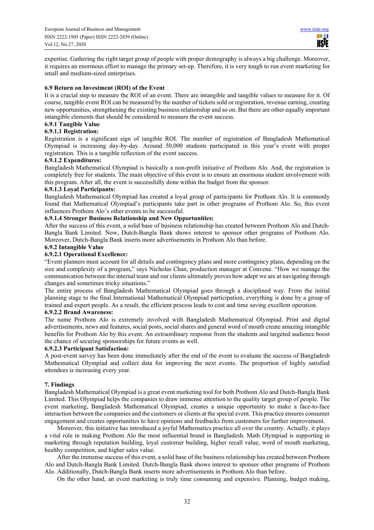expertise. Gathering the right target group of people with proper demography is always a big challenge. Moreover, it requires an enormous effort to manage the primary set-up. Therefore, it is very tough to run event marketing for small and medium-sized enterprises.

# **6.9 Return on Investment (ROI) of the Event**

It is a crucial step to measure the ROI of an event. There are intangible and tangible values to measure for it. Of course, tangible event ROI can be measured by the number of tickets sold or registration, revenue earning, creating new opportunities, strengthening the existing business relationship and so on. But there are other equally important intangible elements that should be considered to measure the event success.

# **6.9.1 Tangible Value**

# **6.9.1.1 Registration:**

Registration is a significant sign of tangible ROI. The number of registration of Bangladesh Mathematical Olympiad is increasing day-by-day. Around 50,000 students participated in this year's event with proper registration. This is a tangible reflection of the event success.

## **6.9.1.2 Expenditures:**

Bangladesh Mathematical Olympiad is basically a non-profit initiative of Prothom Alo. And, the registration is completely free for students. The main objective of this event is to ensure an enormous student involvement with this program. After all, the event is successfully done within the budget from the sponsor.

## **6.9.1.3 Loyal Participants:**

Bangladesh Mathematical Olympiad has created a loyal group of participants for Prothom Alo. It is commonly found that Mathematical Olympiad's participants take part in other programs of Prothom Alo. So, this event influences Prothom Alo's other events to be successful.

# **6.9.1.4 Stronger Business Relationship and New Opportunities:**

After the success of this event, a solid base of business relationship has created between Prothom Alo and Dutch-Bangla Bank Limited. Now, Dutch-Bangla Bank shows interest to sponsor other programs of Prothom Alo. Moreover, Dutch-Bangla Bank inserts more advertisements in Prothom Alo than before.

## **6.9.2 Intangible Value**

# **6.9.2.1 Operational Excellence:**

"Event planners must account for all details and contingency plans and more contingency plans, depending on the size and complexity of a program," says Nicholas Chan, production manager at Convene. "How we manage the communication between the internal team and our clients ultimately proves how adept we are at navigating through changes and sometimes tricky situations."

The entire process of Bangladesh Mathematical Olympiad goes through a disciplined way. From the initial planning stage to the final International Mathematical Olympiad participation, everything is done by a group of trained and expert people. As a result, the efficient process leads to cost and time saving excellent operation.

## **6.9.2.2 Brand Awareness:**

The name Prothom Alo is extremely involved with Bangladesh Mathematical Olympiad. Print and digital advertisements, news and features, social posts, social shares and general word of mouth create amazing intangible benefits for Prothom Alo by this event. An extraordinary response from the students and targeted audience boost the chance of securing sponsorships for future events as well.

#### **6.9.2.3 Participant Satisfaction:**

A post-event survey has been done immediately after the end of the event to evaluate the success of Bangladesh Mathematical Olympiad and collect data for improving the next events. The proportion of highly satisfied attendees is increasing every year.

#### **7. Findings**

Bangladesh Mathematical Olympiad is a great event marketing tool for both Prothom Alo and Dutch-Bangla Bank Limited. This Olympiad helps the companies to draw immense attention to the quality target group of people. The event marketing, Bangladesh Mathematical Olympiad, creates a unique opportunity to make a face-to-face interaction between the companies and the customers or clients at the special event. This practice ensures consumer engagement and creates opportunities to have opinions and feedbacks from customers for further improvement.

Moreover, this initiative has introduced a joyful Mathematics practice all over the country. Actually, it plays a vital role in making Prothom Alo the most influential brand in Bangladesh. Math Olympiad is supporting in marketing through reputation building, loyal customer building, higher recall value, word of mouth marketing, healthy competition, and higher sales value.

After the immense success of this event, a solid base of the business relationship has created between Prothom Alo and Dutch-Bangla Bank Limited. Dutch-Bangla Bank shows interest to sponsor other programs of Prothom Alo. Additionally, Dutch-Bangla Bank inserts more advertisements in Prothom Alo than before.

On the other hand, an event marketing is truly time consuming and expensive. Planning, budget making,